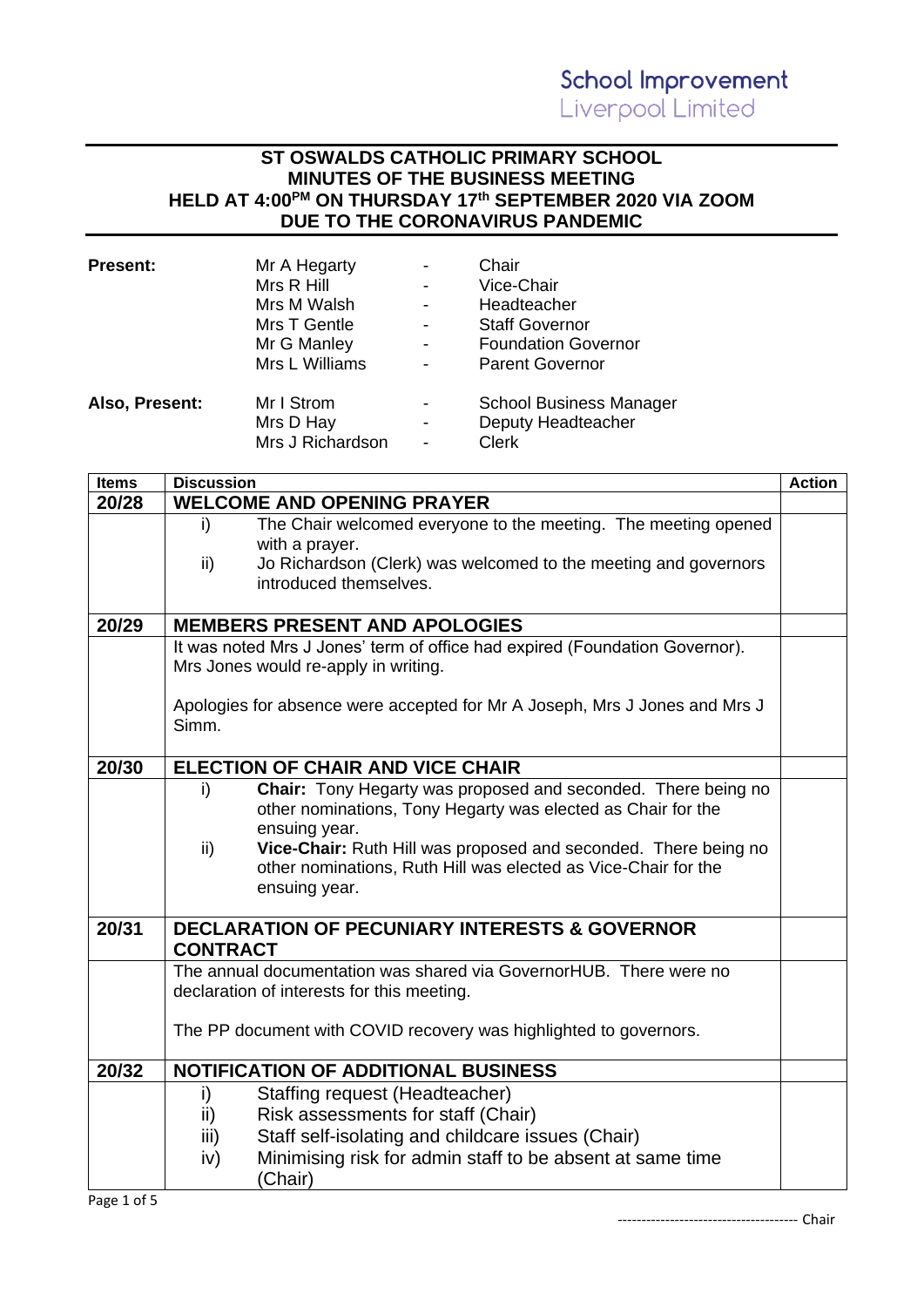#### **ST OSWALDS CATHOLIC PRIMARY SCHOOL MINUTES OF THE BUSINESS MEETING HELD AT 4:00PM ON THURSDAY 17 th SEPTEMBER 2020 VIA ZOOM DUE TO THE CORONAVIRUS PANDEMIC**

| <b>Present:</b> | Mr A Hegarty     | $\overline{\phantom{0}}$ | Chair                          |
|-----------------|------------------|--------------------------|--------------------------------|
|                 | Mrs R Hill       | $\overline{\phantom{0}}$ | Vice-Chair                     |
|                 | Mrs M Walsh      | $\overline{a}$           | Headteacher                    |
|                 | Mrs T Gentle     | $\overline{\phantom{0}}$ | <b>Staff Governor</b>          |
|                 | Mr G Manley      | -                        | <b>Foundation Governor</b>     |
|                 | Mrs L Williams   | $\overline{a}$           | <b>Parent Governor</b>         |
| Also, Present:  | Mr I Strom       | -                        | <b>School Business Manager</b> |
|                 | Mrs D Hay        | $\overline{\phantom{0}}$ | Deputy Headteacher             |
|                 | Mrs J Richardson | $\qquad \qquad$          | <b>Clerk</b>                   |

| <b>Items</b> | <b>Discussion</b>                    |                                                                                                                                   | <b>Action</b> |
|--------------|--------------------------------------|-----------------------------------------------------------------------------------------------------------------------------------|---------------|
| 20/28        |                                      | <b>WELCOME AND OPENING PRAYER</b>                                                                                                 |               |
|              | i)                                   | The Chair welcomed everyone to the meeting. The meeting opened                                                                    |               |
|              |                                      | with a prayer.                                                                                                                    |               |
|              | $\mathsf{ii}$                        | Jo Richardson (Clerk) was welcomed to the meeting and governors                                                                   |               |
|              |                                      | introduced themselves.                                                                                                            |               |
|              |                                      |                                                                                                                                   |               |
| 20/29        |                                      | <b>MEMBERS PRESENT AND APOLOGIES</b>                                                                                              |               |
|              |                                      | It was noted Mrs J Jones' term of office had expired (Foundation Governor).                                                       |               |
|              | Mrs Jones would re-apply in writing. |                                                                                                                                   |               |
|              |                                      |                                                                                                                                   |               |
|              |                                      | Apologies for absence were accepted for Mr A Joseph, Mrs J Jones and Mrs J                                                        |               |
|              | Simm.                                |                                                                                                                                   |               |
|              |                                      |                                                                                                                                   |               |
| 20/30        |                                      | <b>ELECTION OF CHAIR AND VICE CHAIR</b>                                                                                           |               |
|              | i)                                   | <b>Chair:</b> Tony Hegarty was proposed and seconded. There being no                                                              |               |
|              |                                      | other nominations, Tony Hegarty was elected as Chair for the                                                                      |               |
|              |                                      | ensuing year.                                                                                                                     |               |
|              | $\mathsf{ii}$                        | Vice-Chair: Ruth Hill was proposed and seconded. There being no<br>other nominations, Ruth Hill was elected as Vice-Chair for the |               |
|              |                                      | ensuing year.                                                                                                                     |               |
|              |                                      |                                                                                                                                   |               |
| 20/31        |                                      | <b>DECLARATION OF PECUNIARY INTERESTS &amp; GOVERNOR</b>                                                                          |               |
|              | <b>CONTRACT</b>                      |                                                                                                                                   |               |
|              |                                      | The annual documentation was shared via GovernorHUB. There were no                                                                |               |
|              |                                      | declaration of interests for this meeting.                                                                                        |               |
|              |                                      |                                                                                                                                   |               |
|              |                                      | The PP document with COVID recovery was highlighted to governors.                                                                 |               |
|              |                                      |                                                                                                                                   |               |
| 20/32        |                                      | <b>NOTIFICATION OF ADDITIONAL BUSINESS</b>                                                                                        |               |
|              | i)                                   | Staffing request (Headteacher)                                                                                                    |               |
|              | ii)                                  | Risk assessments for staff (Chair)                                                                                                |               |
|              | iii)                                 | Staff self-isolating and childcare issues (Chair)                                                                                 |               |
|              | iv)                                  | Minimising risk for admin staff to be absent at same time                                                                         |               |
|              |                                      | (Chair)                                                                                                                           |               |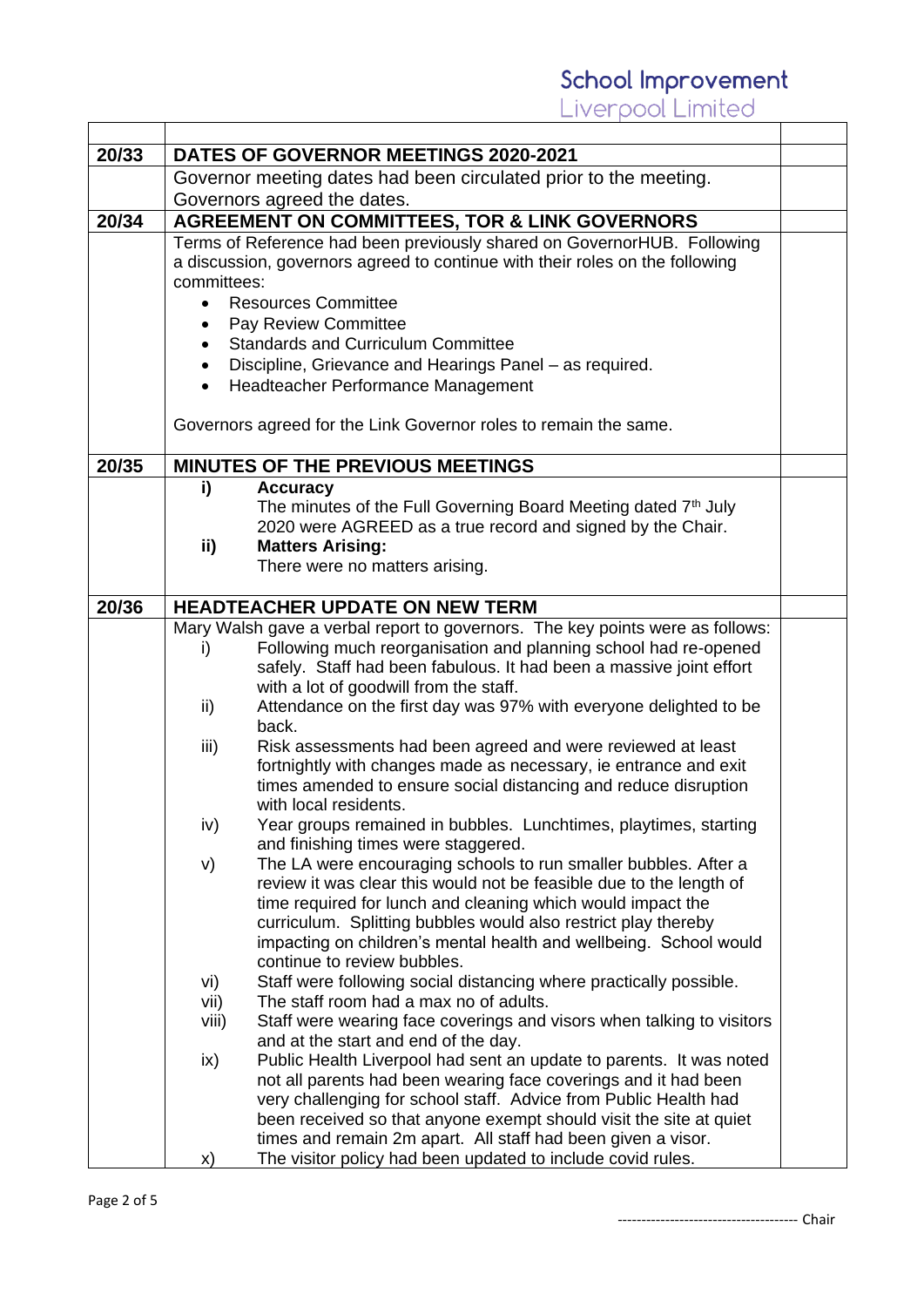|       | iverpool Limited                                                                                                   |  |  |
|-------|--------------------------------------------------------------------------------------------------------------------|--|--|
|       |                                                                                                                    |  |  |
| 20/33 | DATES OF GOVERNOR MEETINGS 2020-2021                                                                               |  |  |
|       | Governor meeting dates had been circulated prior to the meeting.                                                   |  |  |
|       | Governors agreed the dates.                                                                                        |  |  |
| 20/34 | <b>AGREEMENT ON COMMITTEES, TOR &amp; LINK GOVERNORS</b>                                                           |  |  |
|       | Terms of Reference had been previously shared on GovernorHUB. Following                                            |  |  |
|       | a discussion, governors agreed to continue with their roles on the following                                       |  |  |
|       | committees:                                                                                                        |  |  |
|       | <b>Resources Committee</b><br>$\bullet$                                                                            |  |  |
|       | Pay Review Committee<br>$\bullet$                                                                                  |  |  |
|       | <b>Standards and Curriculum Committee</b>                                                                          |  |  |
|       | Discipline, Grievance and Hearings Panel – as required.                                                            |  |  |
|       | Headteacher Performance Management                                                                                 |  |  |
|       | Governors agreed for the Link Governor roles to remain the same.                                                   |  |  |
| 20/35 | <b>MINUTES OF THE PREVIOUS MEETINGS</b>                                                                            |  |  |
|       | i)<br><b>Accuracy</b>                                                                                              |  |  |
|       | The minutes of the Full Governing Board Meeting dated 7th July                                                     |  |  |
|       | 2020 were AGREED as a true record and signed by the Chair.                                                         |  |  |
|       | <b>Matters Arising:</b><br>ii)                                                                                     |  |  |
|       | There were no matters arising.                                                                                     |  |  |
|       |                                                                                                                    |  |  |
| 20/36 | HEADTEACHER UPDATE ON NEW TERM                                                                                     |  |  |
|       | Mary Walsh gave a verbal report to governors. The key points were as follows:                                      |  |  |
|       | Following much reorganisation and planning school had re-opened<br>I)                                              |  |  |
|       | safely. Staff had been fabulous. It had been a massive joint effort                                                |  |  |
|       | with a lot of goodwill from the staff.                                                                             |  |  |
|       | Attendance on the first day was 97% with everyone delighted to be<br>ii)<br>back.                                  |  |  |
|       | Risk assessments had been agreed and were reviewed at least<br>iii)                                                |  |  |
|       | fortnightly with changes made as necessary, ie entrance and exit                                                   |  |  |
|       | times amended to ensure social distancing and reduce disruption                                                    |  |  |
|       | with local residents.                                                                                              |  |  |
|       | Year groups remained in bubbles. Lunchtimes, playtimes, starting<br>iv)                                            |  |  |
|       | and finishing times were staggered.                                                                                |  |  |
|       | The LA were encouraging schools to run smaller bubbles. After a<br>V)                                              |  |  |
|       | review it was clear this would not be feasible due to the length of                                                |  |  |
|       | time required for lunch and cleaning which would impact the                                                        |  |  |
|       | curriculum. Splitting bubbles would also restrict play thereby                                                     |  |  |
|       | impacting on children's mental health and wellbeing. School would                                                  |  |  |
|       | continue to review bubbles.                                                                                        |  |  |
|       | Staff were following social distancing where practically possible.<br>vi)                                          |  |  |
|       | The staff room had a max no of adults.<br>vii)                                                                     |  |  |
|       | Staff were wearing face coverings and visors when talking to visitors<br>viii)                                     |  |  |
|       | and at the start and end of the day.<br>Public Health Liverpool had sent an update to parents. It was noted<br>ix) |  |  |
|       | not all parents had been wearing face coverings and it had been                                                    |  |  |
|       | very challenging for school staff. Advice from Public Health had                                                   |  |  |
|       | been received so that anyone exempt should visit the site at quiet                                                 |  |  |
|       | times and remain 2m apart. All staff had been given a visor.                                                       |  |  |
|       | The visitor policy had been updated to include covid rules.<br>X)                                                  |  |  |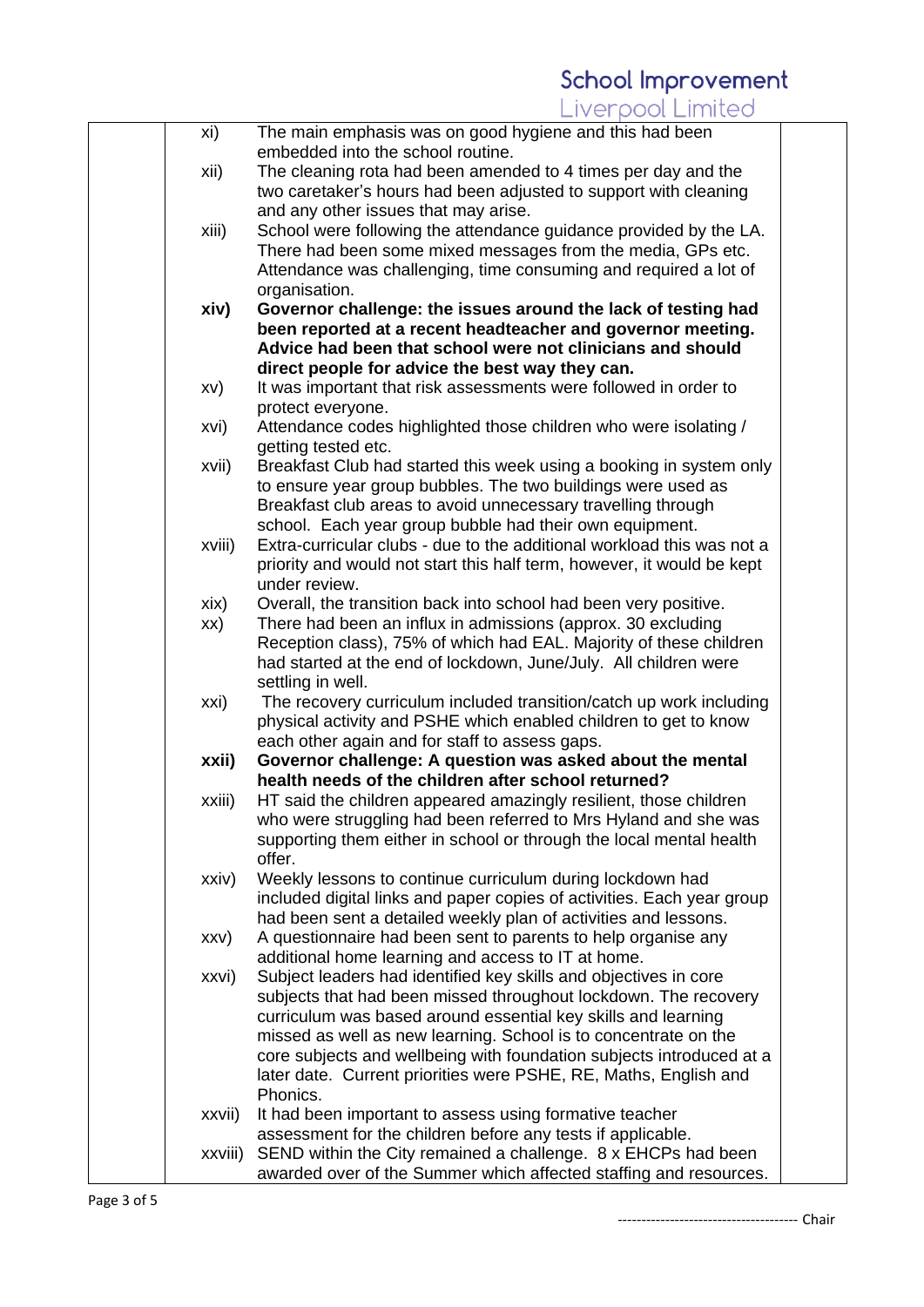| xi)     | The main emphasis was on good hygiene and this had been                                                                                   |  |
|---------|-------------------------------------------------------------------------------------------------------------------------------------------|--|
|         | embedded into the school routine.                                                                                                         |  |
| xii)    | The cleaning rota had been amended to 4 times per day and the                                                                             |  |
|         | two caretaker's hours had been adjusted to support with cleaning                                                                          |  |
|         | and any other issues that may arise.                                                                                                      |  |
| xiii)   | School were following the attendance guidance provided by the LA.                                                                         |  |
|         | There had been some mixed messages from the media, GPs etc.                                                                               |  |
|         | Attendance was challenging, time consuming and required a lot of                                                                          |  |
|         | organisation.                                                                                                                             |  |
| xiv)    | Governor challenge: the issues around the lack of testing had                                                                             |  |
|         | been reported at a recent headteacher and governor meeting.                                                                               |  |
|         | Advice had been that school were not clinicians and should                                                                                |  |
|         | direct people for advice the best way they can.                                                                                           |  |
| XV)     | It was important that risk assessments were followed in order to                                                                          |  |
|         | protect everyone.                                                                                                                         |  |
| xvi)    | Attendance codes highlighted those children who were isolating /                                                                          |  |
|         | getting tested etc.                                                                                                                       |  |
| xvii)   | Breakfast Club had started this week using a booking in system only<br>to ensure year group bubbles. The two buildings were used as       |  |
|         | Breakfast club areas to avoid unnecessary travelling through                                                                              |  |
|         | school. Each year group bubble had their own equipment.                                                                                   |  |
| xviii)  | Extra-curricular clubs - due to the additional workload this was not a                                                                    |  |
|         | priority and would not start this half term, however, it would be kept                                                                    |  |
|         | under review.                                                                                                                             |  |
| xix)    | Overall, the transition back into school had been very positive.                                                                          |  |
| XX)     | There had been an influx in admissions (approx. 30 excluding                                                                              |  |
|         | Reception class), 75% of which had EAL. Majority of these children                                                                        |  |
|         | had started at the end of lockdown, June/July. All children were                                                                          |  |
|         | settling in well.                                                                                                                         |  |
| xxi)    | The recovery curriculum included transition/catch up work including                                                                       |  |
|         | physical activity and PSHE which enabled children to get to know                                                                          |  |
|         | each other again and for staff to assess gaps.                                                                                            |  |
| xxii)   | Governor challenge: A question was asked about the mental                                                                                 |  |
|         | health needs of the children after school returned?                                                                                       |  |
| xxiii)  | HT said the children appeared amazingly resilient, those children                                                                         |  |
|         | who were struggling had been referred to Mrs Hyland and she was                                                                           |  |
|         | supporting them either in school or through the local mental health                                                                       |  |
|         | offer.                                                                                                                                    |  |
| xxiv)   | Weekly lessons to continue curriculum during lockdown had                                                                                 |  |
|         | included digital links and paper copies of activities. Each year group<br>had been sent a detailed weekly plan of activities and lessons. |  |
| XXV)    | A questionnaire had been sent to parents to help organise any                                                                             |  |
|         | additional home learning and access to IT at home.                                                                                        |  |
| xxvi)   | Subject leaders had identified key skills and objectives in core                                                                          |  |
|         | subjects that had been missed throughout lockdown. The recovery                                                                           |  |
|         | curriculum was based around essential key skills and learning                                                                             |  |
|         | missed as well as new learning. School is to concentrate on the                                                                           |  |
|         | core subjects and wellbeing with foundation subjects introduced at a                                                                      |  |
|         | later date. Current priorities were PSHE, RE, Maths, English and                                                                          |  |
|         | Phonics.                                                                                                                                  |  |
| xxvii)  | It had been important to assess using formative teacher                                                                                   |  |
|         | assessment for the children before any tests if applicable.                                                                               |  |
| xxviii) | SEND within the City remained a challenge. 8 x EHCPs had been                                                                             |  |
|         | awarded over of the Summer which affected staffing and resources.                                                                         |  |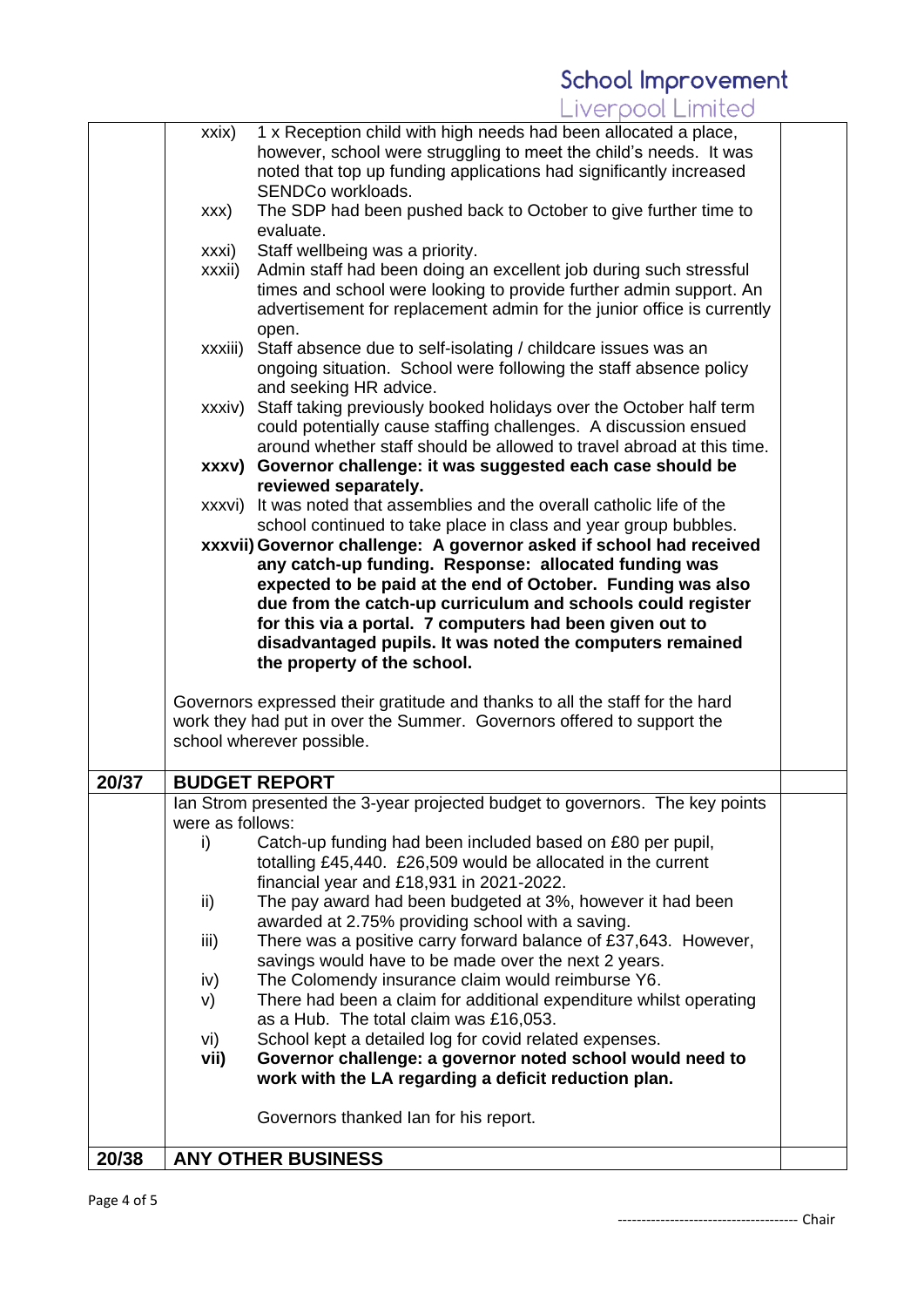|       | xxix)            | 1 x Reception child with high needs had been allocated a place,<br>however, school were struggling to meet the child's needs. It was<br>noted that top up funding applications had significantly increased<br>SENDCo workloads. |  |
|-------|------------------|---------------------------------------------------------------------------------------------------------------------------------------------------------------------------------------------------------------------------------|--|
|       | XXX)             | The SDP had been pushed back to October to give further time to<br>evaluate.                                                                                                                                                    |  |
|       | xxxi)            | Staff wellbeing was a priority.                                                                                                                                                                                                 |  |
|       | xxxii)           | Admin staff had been doing an excellent job during such stressful<br>times and school were looking to provide further admin support. An<br>advertisement for replacement admin for the junior office is currently<br>open.      |  |
|       | xxxiii)          | Staff absence due to self-isolating / childcare issues was an<br>ongoing situation. School were following the staff absence policy<br>and seeking HR advice.                                                                    |  |
|       | xxxiv)           | Staff taking previously booked holidays over the October half term<br>could potentially cause staffing challenges. A discussion ensued<br>around whether staff should be allowed to travel abroad at this time.                 |  |
|       |                  | xxxv) Governor challenge: it was suggested each case should be<br>reviewed separately.                                                                                                                                          |  |
|       |                  | xxxvi) It was noted that assemblies and the overall catholic life of the<br>school continued to take place in class and year group bubbles.                                                                                     |  |
|       |                  | xxxvii) Governor challenge: A governor asked if school had received                                                                                                                                                             |  |
|       |                  | any catch-up funding. Response: allocated funding was                                                                                                                                                                           |  |
|       |                  | expected to be paid at the end of October. Funding was also<br>due from the catch-up curriculum and schools could register                                                                                                      |  |
|       |                  | for this via a portal. 7 computers had been given out to                                                                                                                                                                        |  |
|       |                  | disadvantaged pupils. It was noted the computers remained<br>the property of the school.                                                                                                                                        |  |
|       |                  |                                                                                                                                                                                                                                 |  |
|       |                  | Governors expressed their gratitude and thanks to all the staff for the hard<br>work they had put in over the Summer. Governors offered to support the                                                                          |  |
|       |                  | school wherever possible.                                                                                                                                                                                                       |  |
|       |                  |                                                                                                                                                                                                                                 |  |
| 20/37 |                  | <b>BUDGET REPORT</b><br>lan Strom presented the 3-year projected budget to governors. The key points                                                                                                                            |  |
|       | were as follows: |                                                                                                                                                                                                                                 |  |
|       | i)               | Catch-up funding had been included based on £80 per pupil,                                                                                                                                                                      |  |
|       |                  | totalling £45,440. £26,509 would be allocated in the current<br>financial year and £18,931 in 2021-2022.                                                                                                                        |  |
|       | ii)              | The pay award had been budgeted at 3%, however it had been                                                                                                                                                                      |  |
|       |                  | awarded at 2.75% providing school with a saving.                                                                                                                                                                                |  |
|       | iii)             | There was a positive carry forward balance of £37,643. However,<br>savings would have to be made over the next 2 years.                                                                                                         |  |
|       | iv)              | The Colomendy insurance claim would reimburse Y6.                                                                                                                                                                               |  |
|       | V)               | There had been a claim for additional expenditure whilst operating                                                                                                                                                              |  |
|       |                  | as a Hub. The total claim was £16,053.                                                                                                                                                                                          |  |
|       | vi)<br>vii)      | School kept a detailed log for covid related expenses.<br>Governor challenge: a governor noted school would need to                                                                                                             |  |
|       |                  | work with the LA regarding a deficit reduction plan.                                                                                                                                                                            |  |
|       |                  | Governors thanked Ian for his report.                                                                                                                                                                                           |  |
| 20/38 |                  | <b>ANY OTHER BUSINESS</b>                                                                                                                                                                                                       |  |

-------------------------------------- Chair